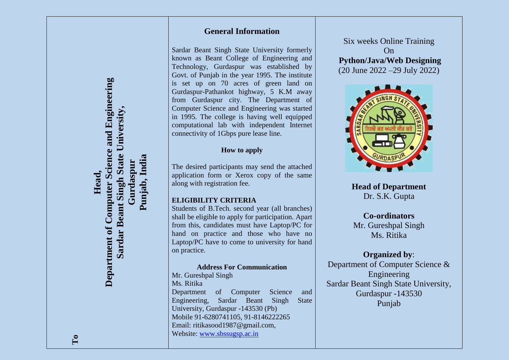### **General Information**

Sardar Beant Singh State University formerly known as Beant College of Engineering and Technology, Gurdaspur was established by Govt. of Punjab in the year 1995. The institute is set up on 70 acres of green land on Gurdaspur-Pathankot highway, 5 K.M away from Gurdaspur city. The Department of Computer Science and Engineering was started in 1995. The college is having well equipped computational lab with independent Internet connectivity of 1Gbps pure lease line.

### **How to apply**

The desired participants may send the attached application form or Xerox copy of the same along with registration fee.

### **ELIGIBILITY CRITERIA**

Students of B.Tech. second year (all branches) shall be eligible to apply for participation. Apart from this, candidates must have Laptop/PC for hand on practice and those who have no Laptop/PC have to come to university for hand on practice.

#### **Address For Communication**

Mr. Gureshpal Singh Ms. Ritika Department of Computer Science and Engineering, Sardar Beant Singh State University, Gurdaspur -143530 (Pb) Mobile 91-6280741105, 91-8146222265 Email: ritikasood1987@gmail.com, Website: [www.sbssugsp.ac.in](http://www.sbssugsp.ac.in/)

Six weeks Online Training On **Python/Java/Web Designing** (20 June 2022 –29 July 2022)



**Head of Department** Dr. S.K. Gupta

# **Co-ordinators**

Mr. Gureshpal Singh Ms. Ritika

### **Organized by**:

Department of Computer Science & Engineering Sardar Beant Singh State University, Gurdaspur -143530 Punjab

**Head,**

**Department of Computer Science and Engineering Sardar Beant Singh State University, Gurdaspur Punjab, India**

Sardar Beant Singh State

University

Department of Computer Science and Engineering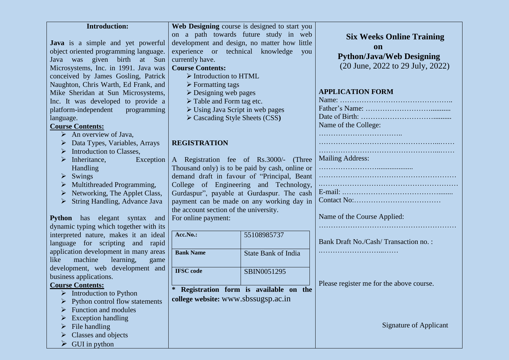| <b>Introduction:</b>                    | Web Designing course is designed to start you   |                                              |                                          |
|-----------------------------------------|-------------------------------------------------|----------------------------------------------|------------------------------------------|
|                                         |                                                 | on a path towards future study in web        | <b>Six Weeks Online Training</b>         |
| Java is a simple and yet powerful       |                                                 | development and design, no matter how little |                                          |
| object oriented programming language.   | experience or technical<br>knowledge<br>you     |                                              | on                                       |
| Java was given birth at Sun             | currently have.                                 |                                              | <b>Python/Java/Web Designing</b>         |
| Microsystems, Inc. in 1991. Java was    | <b>Course Contents:</b>                         |                                              | (20 June, 2022 to 29 July, 2022)         |
| conceived by James Gosling, Patrick     | $\triangleright$ Introduction to HTML           |                                              |                                          |
| Naughton, Chris Warth, Ed Frank, and    | $\triangleright$ Formatting tags                |                                              |                                          |
| Mike Sheridan at Sun Microsystems,      | $\triangleright$ Designing web pages            |                                              | <b>APPLICATION FORM</b>                  |
| Inc. It was developed to provide a      | $\triangleright$ Table and Form tag etc.        |                                              |                                          |
| platform-independent<br>programming     | $\triangleright$ Using Java Script in web pages |                                              |                                          |
| language.                               | $\triangleright$ Cascading Style Sheets (CSS)   |                                              |                                          |
| <b>Course Contents:</b>                 |                                                 |                                              | Name of the College:                     |
| $\triangleright$ An overview of Java,   |                                                 |                                              |                                          |
| Data Types, Variables, Arrays           | <b>REGISTRATION</b>                             |                                              |                                          |
| Introduction to Classes,                |                                                 |                                              |                                          |
| Inheritance,<br>Exception<br>➤          | A Registration fee of Rs.3000/- (Three          |                                              | <b>Mailing Address:</b>                  |
| Handling                                | Thousand only) is to be paid by cash, online or |                                              |                                          |
| Swings<br>➤                             | demand draft in favour of "Principal, Beant     |                                              |                                          |
| Multithreaded Programming,<br>➤         | College of Engineering and Technology,          |                                              |                                          |
| Networking, The Applet Class,<br>➤      | Gurdaspur", payable at Gurdaspur. The cash      |                                              |                                          |
| String Handling, Advance Java           | payment can be made on any working day in       |                                              |                                          |
|                                         | the account section of the university.          |                                              |                                          |
| Python has elegant syntax<br>and        | For online payment:                             |                                              | Name of the Course Applied:              |
| dynamic typing which together with its  |                                                 |                                              |                                          |
| interpreted nature, makes it an ideal   | Acc.No.:                                        | 55108985737                                  |                                          |
| language for scripting and rapid        |                                                 |                                              | Bank Draft No./Cash/Transaction no.:     |
| application development in many areas   | <b>Bank Name</b>                                | <b>State Bank of India</b>                   |                                          |
| machine<br>learning,<br>like<br>game    |                                                 |                                              |                                          |
| development, web development and        | <b>IFSC</b> code                                | SBIN0051295                                  |                                          |
| business applications.                  |                                                 |                                              |                                          |
| <b>Course Contents:</b>                 | ∗                                               | Registration form is available on the        | Please register me for the above course. |
| $\triangleright$ Introduction to Python |                                                 |                                              |                                          |
| Python control flow statements          | college website: www.sbssugsp.ac.in             |                                              |                                          |
| Function and modules                    |                                                 |                                              |                                          |
| <b>Exception handling</b>               |                                                 |                                              |                                          |
| File handling                           |                                                 |                                              | <b>Signature of Applicant</b>            |
| Classes and objects                     |                                                 |                                              |                                          |
| GUI in python                           |                                                 |                                              |                                          |